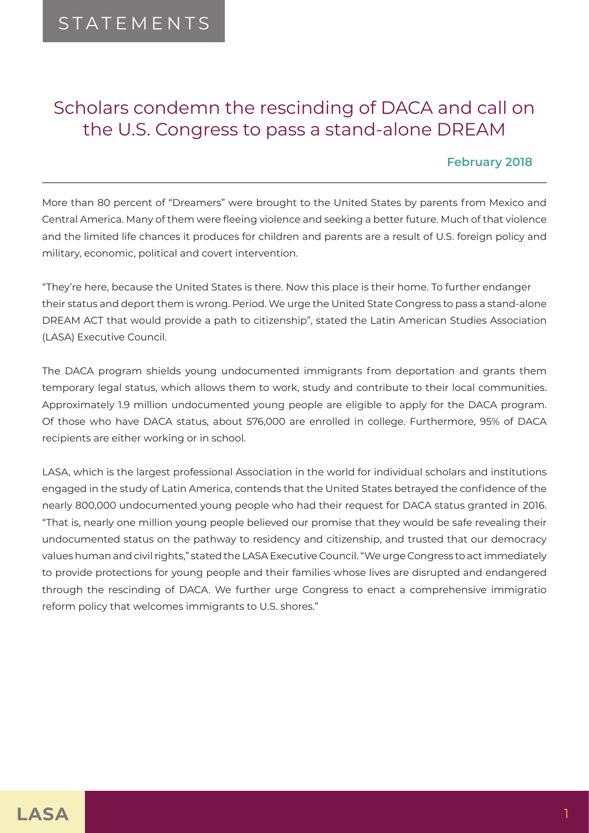## Scholars condemn the rescinding of DACA and call on the U.S. Congress to pass a stand-alone DREAM

## **February 2018**

More than 80 percent of "Dreamers" were brought to the United States by parents from Mexico and Central America. Many of them were fleeing violence and seeking a better future. Much of that violence and the limited life chances it produces for children and parents are a result of U.S. foreign policy and military, economic, political and covert intervention.

"They're here, because the United States is there. Now this place is their home. To further endanger their status and deport them is wrong. Period. We urge the United State Congress to pass a stand-alone DREAM ACT that would provide a path to citizenship", stated the Latin American Studies Association (LASA) Executive Council.

The DACA program shields young undocumented immigrants from deportation and grants them temporary legal status, which allows them to work, study and contribute to their local communities. Approximately 1.9 million undocumented young people are eligible to apply for the DACA program. Of those who have DACA status, about 576,000 are enrolled in college. Furthermore, 95% of DACA recipients are either working or in school.

LASA, which is the largest professional Association in the world for individual scholars and institutions engaged in the study of Latin America, contends that the United States betrayed the confidence of the nearly 800,000 undocumented young people who had their request for DACA status granted in 2016. "That is, nearly one million young people believed our promise that they would be safe revealing their undocumented status on the pathway to residency and citizenship, and trusted that our democracy values human and civil rights," stated the LASA Executive Council. "We urge Congress to act immediately to provide protections for young people and their families whose lives are disrupted and endangered through the rescinding of DACA. We further urge Congress to enact a comprehensive immigratio reform policy that welcomes immigrants to U.S. shores."